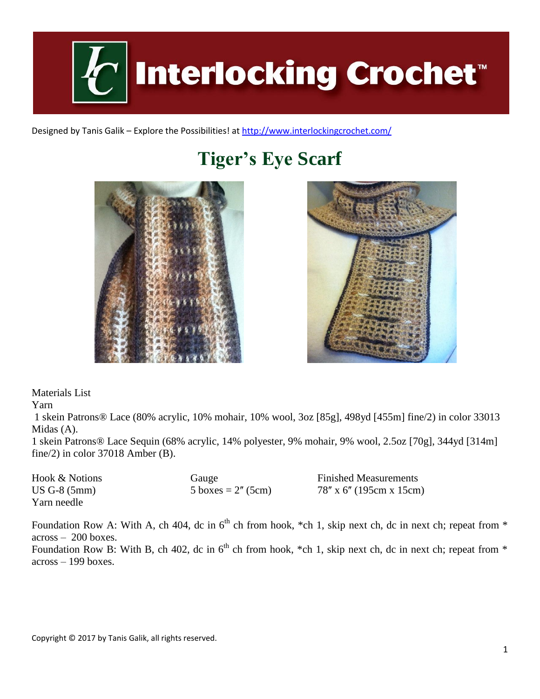

Designed by Tanis Galik – Explore the Possibilities! a[t http://www.interlockingcrochet.com/](http://www.interlockingcrochet.com/)

# **Tiger's Eye Scarf**





Materials List

Yarn

1 skein Patrons® Lace (80% acrylic, 10% mohair, 10% wool, 3oz [85g], 498yd [455m] fine/2) in color 33013 Midas (A).

1 skein Patrons® Lace Sequin (68% acrylic, 14% polyester, 9% mohair, 9% wool, 2.5oz [70g], 344yd [314m] fine/2) in color 37018 Amber (B).

Hook & Notions **Gauge** Gauge **Finished Measurements** US G-8 (5mm)  $5 \text{ boxes} = 2^{\prime\prime}$  (5cm)  $78^{\prime\prime} \times 6^{\prime\prime}$  (195cm x 15cm) Yarn needle

Foundation Row A: With A, ch 404, dc in  $6<sup>th</sup>$  ch from hook, \*ch 1, skip next ch, dc in next ch; repeat from \* across – 200 boxes.

Foundation Row B: With B, ch 402, dc in  $6<sup>th</sup>$  ch from hook, \*ch 1, skip next ch, dc in next ch; repeat from \* across – 199 boxes.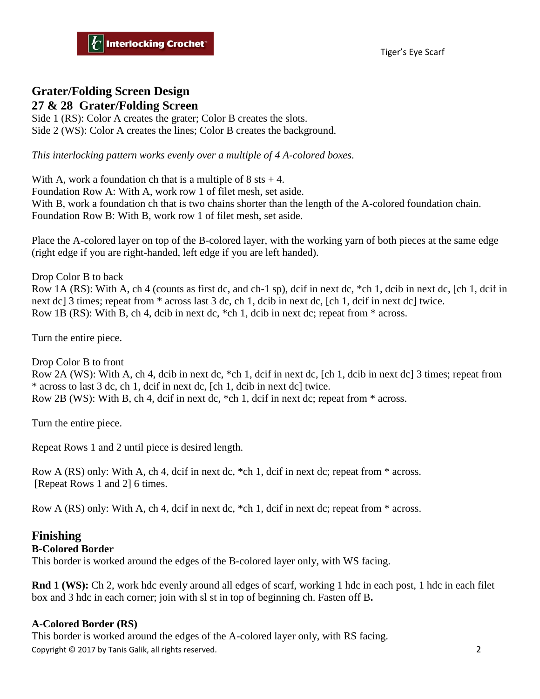### **Grater/Folding Screen Design 27 & 28 Grater/Folding Screen**

Side 1 (RS): Color A creates the grater; Color B creates the slots. Side 2 (WS): Color A creates the lines; Color B creates the background.

*This interlocking pattern works evenly over a multiple of 4 A-colored boxes.*

With A, work a foundation ch that is a multiple of  $8$  sts  $+4$ . Foundation Row A: With A, work row 1 of filet mesh, set aside. With B, work a foundation ch that is two chains shorter than the length of the A-colored foundation chain. Foundation Row B: With B, work row 1 of filet mesh, set aside.

Place the A-colored layer on top of the B-colored layer, with the working yarn of both pieces at the same edge (right edge if you are right-handed, left edge if you are left handed).

Drop Color B to back Row 1A (RS): With A, ch 4 (counts as first dc, and ch-1 sp), dcif in next dc, \*ch 1, dcib in next dc, [ch 1, dcif in next dc] 3 times; repeat from  $*$  across last 3 dc, ch 1, dcib in next dc, [ch 1, dcif in next dc] twice. Row 1B (RS): With B, ch 4, dcib in next dc, \*ch 1, dcib in next dc; repeat from \* across.

Turn the entire piece.

Drop Color B to front Row 2A (WS): With A, ch 4, dcib in next dc, \*ch 1, dcif in next dc, [ch 1, dcib in next dc] 3 times; repeat from \* across to last 3 dc, ch 1, dcif in next dc, [ch 1, dcib in next dc] twice. Row 2B (WS): With B, ch 4, dcif in next dc, \*ch 1, dcif in next dc; repeat from \* across.

Turn the entire piece.

Repeat Rows 1 and 2 until piece is desired length.

Row A (RS) only: With A, ch 4, dcif in next dc, \*ch 1, dcif in next dc; repeat from \* across. [Repeat Rows 1 and 2] 6 times.

Row A (RS) only: With A, ch 4, dcif in next dc, \*ch 1, dcif in next dc; repeat from \* across.

## **Finishing**

#### **B-Colored Border**

This border is worked around the edges of the B-colored layer only, with WS facing.

**Rnd 1 (WS):** Ch 2, work hdc evenly around all edges of scarf, working 1 hdc in each post, 1 hdc in each filet box and 3 hdc in each corner; join with sl st in top of beginning ch. Fasten off B**.**

#### **A-Colored Border (RS)**

Copyright © 2017 by Tanis Galik, all rights reserved. 2 This border is worked around the edges of the A-colored layer only, with RS facing.